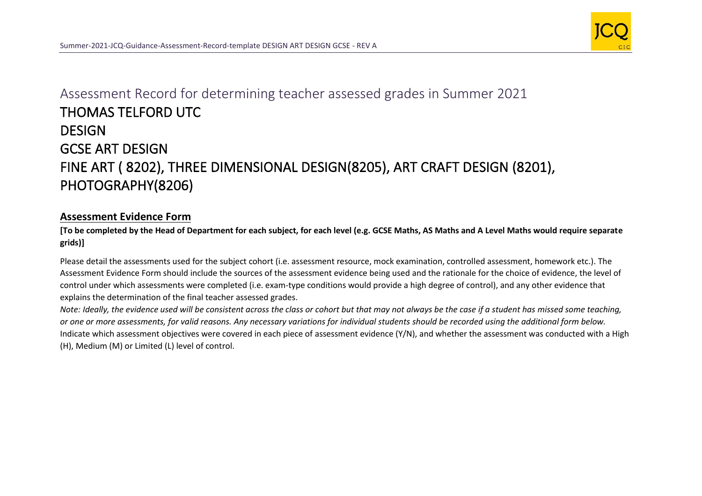

## Assessment Record for determining teacher assessed grades in Summer 2021 THOMAS TELFORD UTC **DESIGN** GCSE ART DESIGN FINE ART ( 8202), THREE DIMENSIONAL DESIGN(8205), ART CRAFT DESIGN (8201), PHOTOGRAPHY(8206)

## **Assessment Evidence Form**

## **[To be completed by the Head of Department for each subject, for each level (e.g. GCSE Maths, AS Maths and A Level Maths would require separate grids)]**

Please detail the assessments used for the subject cohort (i.e. assessment resource, mock examination, controlled assessment, homework etc.). The Assessment Evidence Form should include the sources of the assessment evidence being used and the rationale for the choice of evidence, the level of control under which assessments were completed (i.e. exam-type conditions would provide a high degree of control), and any other evidence that explains the determination of the final teacher assessed grades.

*Note: Ideally, the evidence used will be consistent across the class or cohort but that may not always be the case if a student has missed some teaching, or one or more assessments, for valid reasons. Any necessary variations for individual students should be recorded using the additional form below.*  Indicate which assessment objectives were covered in each piece of assessment evidence (Y/N), and whether the assessment was conducted with a High (H), Medium (M) or Limited (L) level of control.